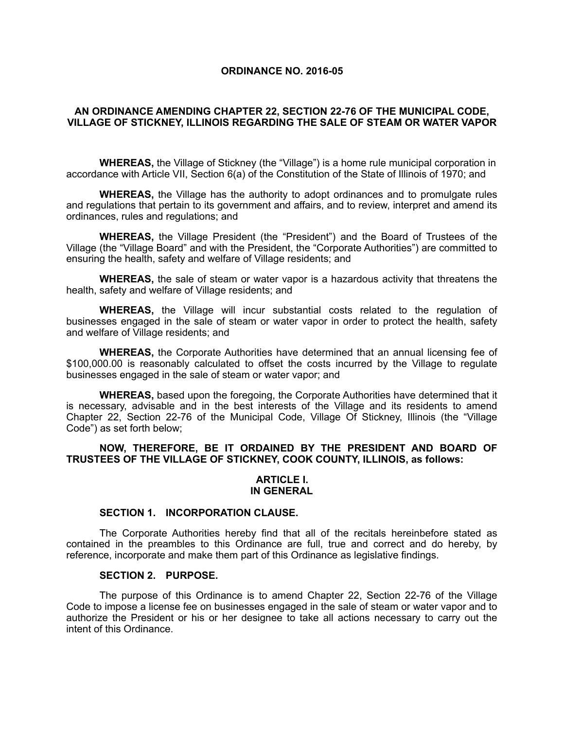## **ORDINANCE NO. 2016-05**

# **AN ORDINANCE AMENDING CHAPTER 22, SECTION 22-76 OF THE MUNICIPAL CODE, VILLAGE OF STICKNEY, ILLINOIS REGARDING THE SALE OF STEAM OR WATER VAPOR**

**WHEREAS,** the Village of Stickney (the "Village") is a home rule municipal corporation in accordance with Article VII, Section 6(a) of the Constitution of the State of Illinois of 1970; and

**WHEREAS,** the Village has the authority to adopt ordinances and to promulgate rules and regulations that pertain to its government and affairs, and to review, interpret and amend its ordinances, rules and regulations; and

**WHEREAS,** the Village President (the "President") and the Board of Trustees of the Village (the "Village Board" and with the President, the "Corporate Authorities") are committed to ensuring the health, safety and welfare of Village residents; and

**WHEREAS,** the sale of steam or water vapor is a hazardous activity that threatens the health, safety and welfare of Village residents; and

**WHEREAS,** the Village will incur substantial costs related to the regulation of businesses engaged in the sale of steam or water vapor in order to protect the health, safety and welfare of Village residents; and

**WHEREAS,** the Corporate Authorities have determined that an annual licensing fee of \$100,000.00 is reasonably calculated to offset the costs incurred by the Village to regulate businesses engaged in the sale of steam or water vapor; and

**WHEREAS,** based upon the foregoing, the Corporate Authorities have determined that it is necessary, advisable and in the best interests of the Village and its residents to amend Chapter 22, Section 22-76 of the Municipal Code, Village Of Stickney, Illinois (the "Village Code") as set forth below;

# **NOW, THEREFORE, BE IT ORDAINED BY THE PRESIDENT AND BOARD OF TRUSTEES OF THE VILLAGE OF STICKNEY, COOK COUNTY, ILLINOIS, as follows:**

## **ARTICLE I. IN GENERAL**

#### **SECTION 1. INCORPORATION CLAUSE.**

The Corporate Authorities hereby find that all of the recitals hereinbefore stated as contained in the preambles to this Ordinance are full, true and correct and do hereby, by reference, incorporate and make them part of this Ordinance as legislative findings.

#### **SECTION 2. PURPOSE.**

The purpose of this Ordinance is to amend Chapter 22, Section 22-76 of the Village Code to impose a license fee on businesses engaged in the sale of steam or water vapor and to authorize the President or his or her designee to take all actions necessary to carry out the intent of this Ordinance.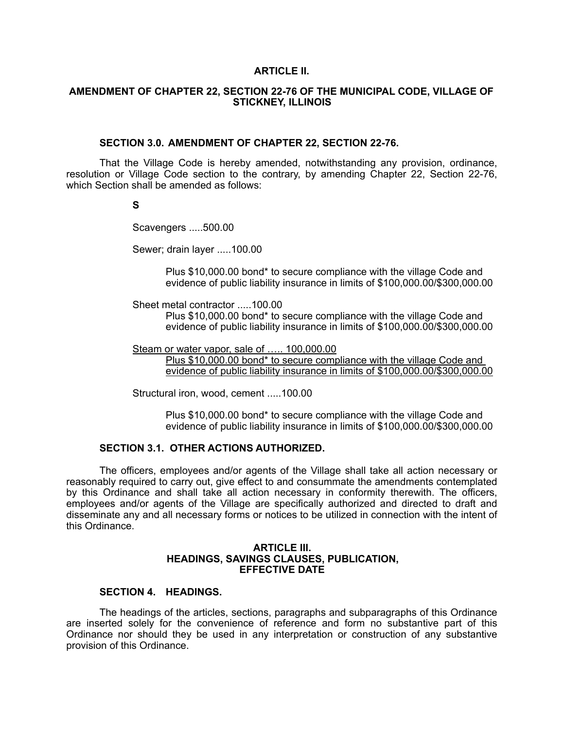#### **ARTICLE II.**

# **AMENDMENT OF CHAPTER 22, SECTION 22-76 OF THE MUNICIPAL CODE, VILLAGE OF STICKNEY, ILLINOIS**

#### **SECTION 3.0. AMENDMENT OF CHAPTER 22, SECTION 22-76.**

That the Village Code is hereby amended, notwithstanding any provision, ordinance, resolution or Village Code section to the contrary, by amending Chapter 22, Section 22-76, which Section shall be amended as follows:

**S** 

Scavengers .....500.00

Sewer; drain layer .....100.00

 Plus \$10,000.00 bond\* to secure compliance with the village Code and evidence of public liability insurance in limits of \$100,000.00/\$300,000.00

Sheet metal contractor .....100.00

 Plus \$10,000.00 bond\* to secure compliance with the village Code and evidence of public liability insurance in limits of \$100,000.00/\$300,000.00

Steam or water vapor, sale of ..... 100,000.00

Plus \$10,000.00 bond\* to secure compliance with the village Code and evidence of public liability insurance in limits of \$100,000.00/\$300,000.00

Structural iron, wood, cement .....100.00

 Plus \$10,000.00 bond\* to secure compliance with the village Code and evidence of public liability insurance in limits of \$100,000.00/\$300,000.00

## **SECTION 3.1. OTHER ACTIONS AUTHORIZED.**

The officers, employees and/or agents of the Village shall take all action necessary or reasonably required to carry out, give effect to and consummate the amendments contemplated by this Ordinance and shall take all action necessary in conformity therewith. The officers, employees and/or agents of the Village are specifically authorized and directed to draft and disseminate any and all necessary forms or notices to be utilized in connection with the intent of this Ordinance.

## **ARTICLE III. HEADINGS, SAVINGS CLAUSES, PUBLICATION, EFFECTIVE DATE**

# **SECTION 4. HEADINGS.**

The headings of the articles, sections, paragraphs and subparagraphs of this Ordinance are inserted solely for the convenience of reference and form no substantive part of this Ordinance nor should they be used in any interpretation or construction of any substantive provision of this Ordinance.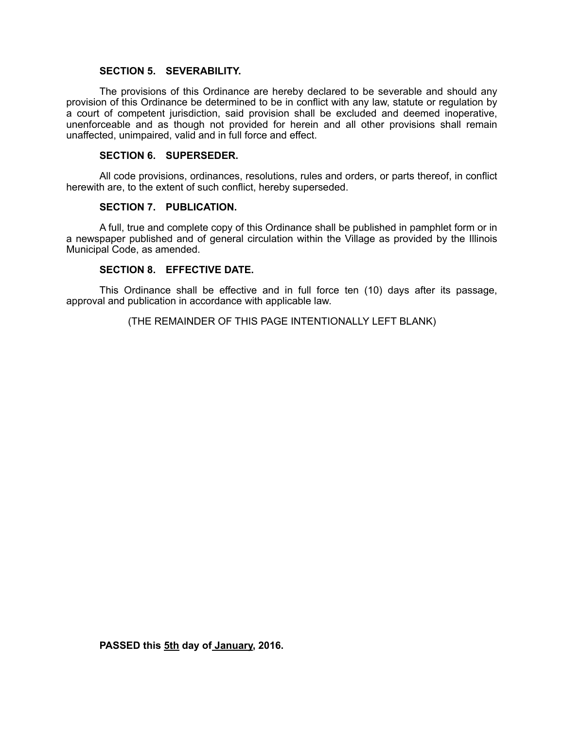## **SECTION 5. SEVERABILITY.**

The provisions of this Ordinance are hereby declared to be severable and should any provision of this Ordinance be determined to be in conflict with any law, statute or regulation by a court of competent jurisdiction, said provision shall be excluded and deemed inoperative, unenforceable and as though not provided for herein and all other provisions shall remain unaffected, unimpaired, valid and in full force and effect.

## **SECTION 6. SUPERSEDER.**

All code provisions, ordinances, resolutions, rules and orders, or parts thereof, in conflict herewith are, to the extent of such conflict, hereby superseded.

## **SECTION 7. PUBLICATION.**

A full, true and complete copy of this Ordinance shall be published in pamphlet form or in a newspaper published and of general circulation within the Village as provided by the Illinois Municipal Code, as amended.

# **SECTION 8. EFFECTIVE DATE.**

This Ordinance shall be effective and in full force ten (10) days after its passage, approval and publication in accordance with applicable law.

(THE REMAINDER OF THIS PAGE INTENTIONALLY LEFT BLANK)

**PASSED this 5th day of January, 2016.**